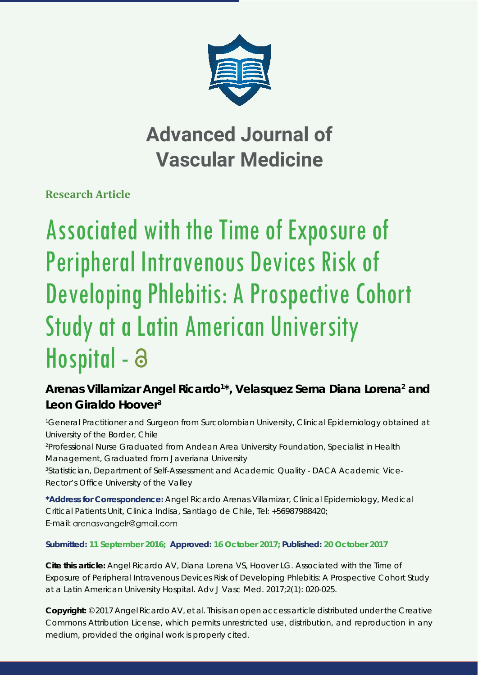

# **Advanced Journal of Vascular Medicine**

**Research Article**

# Associated with the Time of Exposure of Peripheral Intravenous Devices Risk of Developing Phlebitis: A Prospective Cohort Study at a Latin American University Hospital - a

## Arenas Villamizar Angel Ricardo<sup>1\*</sup>, Velasquez Serna Diana Lorena<sup>2</sup> and **Leon Giraldo Hoover3**

*1 General Practitioner and Surgeon from Surcolombian University, Clinical Epidemiology obtained at University of the Border, Chile*

*2 Professional Nurse Graduated from Andean Area University Foundation, Specialist in Health Management, Graduated from Javeriana University*

*3 Statistician, Department of Self-Assessment and Academic Quality - DACA Academic Vice-***Rector's Office University of the Valley** 

**\*Address for Correspondence:** Angel Ricardo Arenas Villamizar, Clinical Epidemiology, Medical Critical Patients Unit, Clinica Indisa, Santiago de Chile, Tel: +56987988420; E-mail: arenasvangelr@gmail.com

### **Submitted: 11 September 2016; Approved: 16 October 2017; Published: 20 October 2017**

**Cite this article:** Angel Ricardo AV, Diana Lorena VS, Hoover LG. Associated with the Time of Exposure of Peripheral Intravenous Devices Risk of Developing Phlebitis: A Prospective Cohort Study at a Latin American University Hospital. Adv J Vasc Med. 2017;2(1): 020-025.

**Copyright:** © 2017 Angel Ricardo AV, et al. This is an open access article distributed under the Creative Commons Attribution License, which permits unrestricted use, distribution, and reproduction in any medium, provided the original work is properly cited.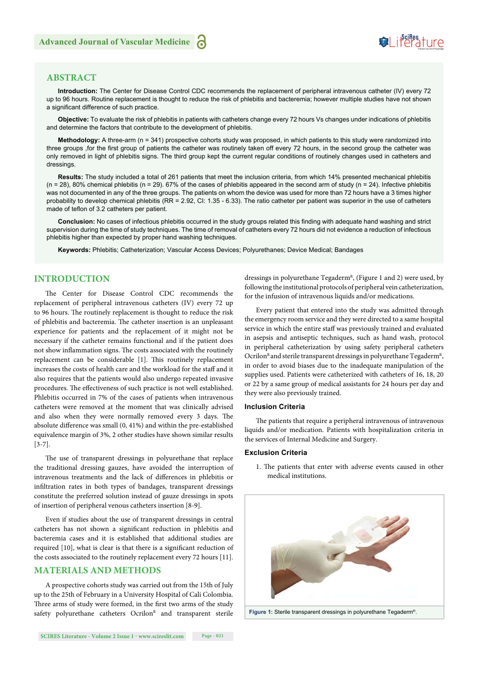

#### **ABSTRACT**

**Introduction:** The Center for Disease Control CDC recommends the replacement of peripheral intravenous catheter (IV) every 72 up to 96 hours. Routine replacement is thought to reduce the risk of phlebitis and bacteremia; however multiple studies have not shown a significant difference of such practice.

**Objective:** To evaluate the risk of phlebitis in patients with catheters change every 72 hours Vs changes under indications of phlebitis and determine the factors that contribute to the development of phlebitis.

**Methodology:** A three-arm (n = 341) prospective cohorts study was proposed, in which patients to this study were randomized into three groups , for the first group of patients the catheter was routinely taken off every 72 hours, in the second group the catheter was only removed in light of phlebitis signs. The third group kept the current regular conditions of routinely changes used in catheters and dressings.

**Results:** The study included a total of 261 patients that meet the inclusion criteria, from which 14% presented mechanical phlebitis  $(n = 28)$ , 80% chemical phlebitis  $(n = 29)$ . 67% of the cases of phlebitis appeared in the second arm of study  $(n = 24)$ . Infective phlebitis was not documented in any of the three groups. The patients on whom the device was used for more than 72 hours have a 3 times higher probability to develop chemical phlebitis (RR = 2.92, CI: 1.35 - 6.33). The ratio catheter per patient was superior in the use of catheters made of teflon of 3.2 catheters per patient.

Conclusion: No cases of infectious phlebitis occurred in the study groups related this finding with adequate hand washing and strict supervision during the time of study techniques. The time of removal of catheters every 72 hours did not evidence a reduction of infectious phlebitis higher than expected by proper hand washing techniques.

**Keywords:** Phlebitis; Catheterization; Vascular Access Devices; Polyurethanes; Device Medical; Bandages

#### **INTRODUCTION**

The Center for Disease Control CDC recommends the replacement of peripheral intravenous catheters (IV) every 72 up to 96 hours. The routinely replacement is thought to reduce the risk of phlebitis and bacteremia. The catheter insertion is an unpleasant experience for patients and the replacement of it might not be necessary if the catheter remains functional and if the patient does not show inflammation signs. The costs associated with the routinely replacement can be considerable [1]. This routinely replacement increases the costs of health care and the workload for the staff and it also requires that the patients would also undergo repeated invasive procedures. The effectiveness of such practice is not well established. Phlebitis occurred in 7% of the cases of patients when intravenous catheters were removed at the moment that was clinically advised and also when they were normally removed every 3 days. The absolute difference was small  $(0, 41\%)$  and within the pre-established equivalence margin of 3%, 2 other studies have shown similar results [3-7].

The use of transparent dressings in polyurethane that replace the traditional dressing gauzes, have avoided the interruption of intravenous treatments and the lack of differences in phlebitis or infiltration rates in both types of bandages, transparent dressings constitute the preferred solution instead of gauze dressings in spots of insertion of peripheral venous catheters insertion [8-9].

Even if studies about the use of transparent dressings in central catheters has not shown a significant reduction in phlebitis and bacteremia cases and it is established that additional studies are required [10], what is clear is that there is a significant reduction of the costs associated to the routinely replacement every 72 hours [11].

#### **MATERIALS AND METHODS**

A prospective cohorts study was carried out from the 15th of July up to the 25th of February in a University Hospital of Cali Colombia. Three arms of study were formed, in the first two arms of the study safety polyurethane catheters Ocrilon<sup>R</sup> and transparent sterile

dressings in polyurethane Tegaderm<sup>R</sup>, (Figure 1 and 2) were used, by following the institutional protocols of peripheral vein catheterization, for the infusion of intravenous liquids and/or medications.

Every patient that entered into the study was admitted through the emergency room service and they were directed to a same hospital service in which the entire staff was previously trained and evaluated in asepsis and antiseptic techniques, such as hand wash, protocol in peripheral catheterization by using safety peripheral catheters Ocrilon<sup>R</sup> and sterile transparent dressings in polyurethane Tegaderm<sup>R</sup>, in order to avoid biases due to the inadequate manipulation of the supplies used. Patients were catheterized with catheters of 16, 18, 20 or 22 by a same group of medical assistants for 24 hours per day and they were also previously trained.

#### **Inclusion Criteria**

The patients that require a peripheral intravenous of intravenous liquids and/or medication. Patients with hospitalization criteria in the services of Internal Medicine and Surgery.

#### **Exclusion Criteria**

1. The patients that enter with adverse events caused in other medical institutions.



**Figure 1:** Sterile transparent dressings in polyurethane Tegaderm<sup>R</sup>.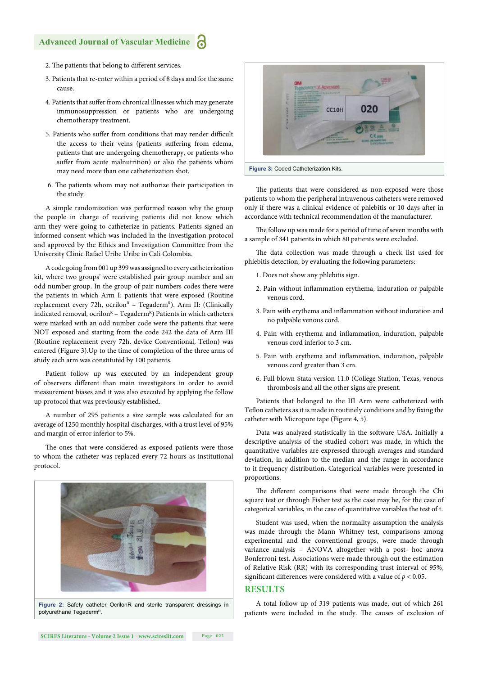#### **Advanced Journal of Vascular Medicine**

- 2. The patients that belong to different services.
- 3. Patients that re-enter within a period of 8 days and for the same cause.
- 4. Patients that suffer from chronical illnesses which may generate immunosuppression or patients who are undergoing chemotherapy treatment.
- 5. Patients who suffer from conditions that may render difficult the access to their veins (patients suffering from edema, patients that are undergoing chemotherapy, or patients who suffer from acute malnutrition) or also the patients whom may need more than one catheterization shot.
- 6. The patients whom may not authorize their participation in the study.

A simple randomization was performed reason why the group the people in charge of receiving patients did not know which arm they were going to catheterize in patients. Patients signed an informed consent which was included in the investigation protocol and approved by the Ethics and Investigation Committee from the University Clinic Rafael Uribe Uribe in Cali Colombia.

A code going from 001 up 399 was assigned to every catheterization kit, where two groups' were established pair group number and an odd number group. In the group of pair numbers codes there were the patients in which Arm I: patients that were exposed (Routine replacement every 72h, ocrilon<sup>R</sup> - Tegaderm<sup>R</sup>). Arm II: (Clinically indicated removal, ocrilon<sup>R</sup> – Tegaderm<sup>R</sup>) Patients in which catheters were marked with an odd number code were the patients that were NOT exposed and starting from the code 242 the data of Arm III (Routine replacement every 72h, device Conventional, Teflon) was entered (Figure 3).Up to the time of completion of the three arms of study each arm was constituted by 100 patients.

Patient follow up was executed by an independent group of observers different than main investigators in order to avoid measurement biases and it was also executed by applying the follow up protocol that was previously established.

A number of 295 patients a size sample was calculated for an average of 1250 monthly hospital discharges, with a trust level of 95% and margin of error inferior to 5%.

The ones that were considered as exposed patients were those to whom the catheter was replaced every 72 hours as institutional protocol.





The patients that were considered as non-exposed were those patients to whom the peripheral intravenous catheters were removed only if there was a clinical evidence of phlebitis or 10 days after in accordance with technical recommendation of the manufacturer.

The follow up was made for a period of time of seven months with a sample of 341 patients in which 80 patients were excluded.

The data collection was made through a check list used for phlebitis detection, by evaluating the following parameters:

- 1. Does not show any phlebitis sign.
- 2. Pain without inflammation erythema, induration or palpable venous cord.
- 3. Pain with erythema and inflammation without induration and no palpable venous cord.
- 4. Pain with erythema and inflammation, induration, palpable venous cord inferior to 3 cm.
- 5. Pain with erythema and inflammation, induration, palpable venous cord greater than 3 cm.
- 6. Full blown Stata version 11.0 (College Station, Texas, venous thrombosis and all the other signs are present.

Patients that belonged to the III Arm were catheterized with Teflon catheters as it is made in routinely conditions and by fixing the catheter with Micropore tape (Figure 4, 5).

Data was analyzed statistically in the software USA. Initially a descriptive analysis of the studied cohort was made, in which the quantitative variables are expressed through averages and standard deviation, in addition to the median and the range in accordance to it frequency distribution. Categorical variables were presented in proportions.

The different comparisons that were made through the Chi square test or through Fisher test as the case may be, for the case of categorical variables, in the case of quantitative variables the test of t.

Student was used, when the normality assumption the analysis was made through the Mann Whitney test, comparisons among experimental and the conventional groups, were made through variance analysis – ANOVA altogether with a post- hoc anova Bonferroni test. Associations were made through out the estimation of Relative Risk (RR) with its corresponding trust interval of 95%, significant differences were considered with a value of  $p < 0.05$ .

#### **RESULTS**

A total follow up of 319 patients was made, out of which 261 patients were included in the study. The causes of exclusion of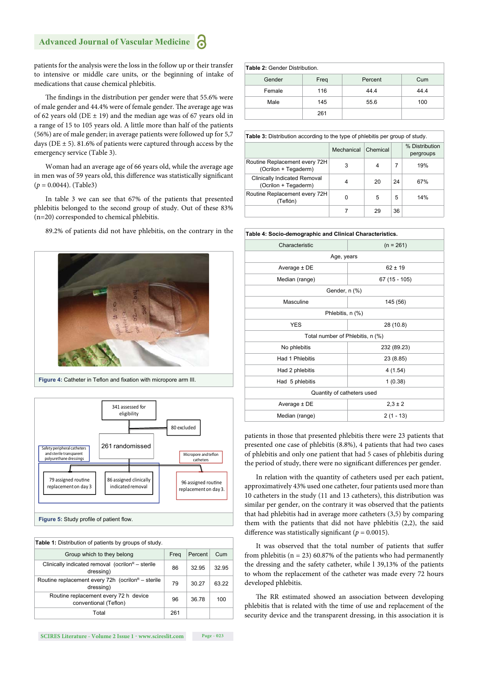#### **Advanced Journal of Vascular Medicine**

patients for the analysis were the loss in the follow up or their transfer to intensive or middle care units, or the beginning of intake of medications that cause chemical phlebitis.

The findings in the distribution per gender were that 55.6% were of male gender and 44.4% were of female gender. The average age was of 62 years old (DE  $\pm$  19) and the median age was of 67 years old in a range of 15 to 105 years old. A little more than half of the patients (56%) are of male gender; in average patients were followed up for 5,7 days ( $DE \pm 5$ ). 81.6% of patients were captured through access by the emergency service (Table 3).

Woman had an average age of 66 years old, while the average age in men was of 59 years old, this difference was statistically significant (*p* = 0.0044). (Table3)

In table 3 we can see that 67% of the patients that presented phlebitis belonged to the second group of study. Out of these 83% (n=20) corresponded to chemical phlebitis.

89.2% of patients did not have phlebitis, on the contrary in the



Figure 4: Catheter in Teflon and fixation with micropore arm III.



| Table 1: Distribution of patients by groups of study.                      |      |         |       |  |  |
|----------------------------------------------------------------------------|------|---------|-------|--|--|
| Group which to they belong                                                 | Frea | Percent | Cum   |  |  |
| Clinically indicated removal (ocrilon <sup>R</sup> – sterile<br>dressing)  | 86   | 32.95   | 32.95 |  |  |
| Routine replacement every 72h (ocrilon <sup>R</sup> – sterile<br>dressing) | 79   | 30.27   | 63.22 |  |  |
| Routine replacement every 72 h device<br>conventional (Teflon)             | 96   | 36.78   | 100   |  |  |
| Total                                                                      | 261  |         |       |  |  |

**Table 2:** Gender Distribution.

| <b>Table 4.</b> Genuel Distribution. |      |                |      |  |  |
|--------------------------------------|------|----------------|------|--|--|
| Gender                               | Freq | Cum<br>Percent |      |  |  |
| Female                               | 116  | 44.4           | 44.4 |  |  |
| Male                                 | 145  | 55.6           | 100  |  |  |
|                                      | 261  |                |      |  |  |

**Table 3:** Distribution according to the type of phlebitis per group of study.

|                                                       | Mechanical | Chemical |    | % Distribution<br>pergroups |
|-------------------------------------------------------|------------|----------|----|-----------------------------|
| Routine Replacement every 72H<br>(Ocrilon + Tegaderm) | 3          |          |    | 19%                         |
| Clinically Indicated Removal<br>(Ocrilon + Tegaderm)  | 4          | 20       | 24 | 67%                         |
| Routine Replacement every 72H<br>(Teflón)             | 0          | 5        | 5  | 14%                         |
|                                                       |            | 29       | 36 |                             |

| Table 4: Socio-demographic and Clinical Characteristics. |                |  |  |  |  |  |
|----------------------------------------------------------|----------------|--|--|--|--|--|
| Characteristic                                           | $(n = 261)$    |  |  |  |  |  |
| Age, years                                               |                |  |  |  |  |  |
| Average $\pm$ DE                                         | $62 \pm 19$    |  |  |  |  |  |
| Median (range)                                           | $67(15 - 105)$ |  |  |  |  |  |
|                                                          | Gender, n (%)  |  |  |  |  |  |
| Masculine                                                | 145 (56)       |  |  |  |  |  |
| Phlebitis, n (%)                                         |                |  |  |  |  |  |
| <b>YES</b><br>28 (10.8)                                  |                |  |  |  |  |  |
| Total number of Phlebitis, n (%)                         |                |  |  |  |  |  |
| No phlebitis<br>232 (89.23)                              |                |  |  |  |  |  |
| Had 1 Phlebitis                                          | 23 (8.85)      |  |  |  |  |  |
| Had 2 phlebitis                                          | 4(1.54)        |  |  |  |  |  |
| Had 5 phlebitis                                          | 1(0.38)        |  |  |  |  |  |
| Quantity of catheters used                               |                |  |  |  |  |  |
| Average ± DE                                             | $2,3 \pm 2$    |  |  |  |  |  |
| $2(1 - 13)$<br>Median (range)                            |                |  |  |  |  |  |

patients in those that presented phlebitis there were 23 patients that presented one case of phlebitis (8.8%), 4 patients that had two cases of phlebitis and only one patient that had 5 cases of phlebitis during the period of study, there were no significant differences per gender.

In relation with the quantity of catheters used per each patient, approximatively 43% used one catheter, four patients used more than 10 catheters in the study (11 and 13 catheters), this distribution was similar per gender, on the contrary it was observed that the patients that had phlebitis had in average more catheters (3,5) by comparing them with the patients that did not have phlebitis (2,2), the said difference was statistically significant ( $p = 0.0015$ ).

It was observed that the total number of patients that suffer from phlebitis ( $n = 23$ ) 60.87% of the patients who had permanently the dressing and the safety catheter, while l 39,13% of the patients to whom the replacement of the catheter was made every 72 hours developed phlebitis.

The RR estimated showed an association between developing phlebitis that is related with the time of use and replacement of the security device and the transparent dressing, in this association it is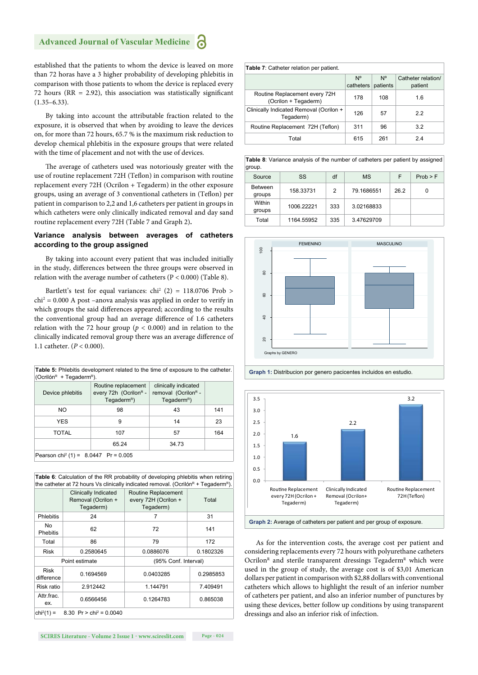established that the patients to whom the device is leaved on more than 72 horas have a 3 higher probability of developing phlebitis in comparison with those patients to whom the device is replaced every 72 hours ( $RR = 2.92$ ), this association was statistically significant  $(1.35-6.33)$ .

By taking into account the attributable fraction related to the exposure, it is observed that when by avoiding to leave the devices on, for more than 72 hours, 65.7 % is the maximum risk reduction to develop chemical phlebitis in the exposure groups that were related with the time of placement and not with the use of devices.

The average of catheters used was notoriously greater with the use of routine replacement 72H (Teflon) in comparison with routine replacement every 72H (Ocrilon + Tegaderm) in the other exposure groups, using an average of 3 conventional catheters in (Teflon) per patient in comparison to 2,2 and 1,6 catheters per patient in groups in which catheters were only clinically indicated removal and day sand routine replacement every 72H (Table 7 and Graph 2)**.**

#### **Variance analysis between averages of catheters according to the group assigned**

By taking into account every patient that was included initially in the study, differences between the three groups were observed in relation with the average number of catheters (P < 0.000) (Table 8).

Bartlett's test for equal variances:  $\text{chi}^2$  (2) = 118.0706 Prob >  $\chi$ chi<sup>2</sup> = 0.000 A post -anova analysis was applied in order to verify in which groups the said differences appeared; according to the results the conventional group had an average difference of 1.6 catheters relation with the 72 hour group ( $p < 0.000$ ) and in relation to the clinically indicated removal group there was an average difference of 1.1 catheter. (*P* < 0.000).

**Table 5:** Phlebitis development related to the time of exposure to the catheter. (Ocrilón $R$  + Tegaderm $R$ ).

| Device phlebitis                                   | Routine replacement<br>every 72h (Ocrilon <sup>R</sup> -<br>Tegaderm <sup>R</sup> ) | clinically indicated<br>removal (Ocrilon <sup>R</sup> -<br>Tegaderm <sup>R</sup> ) |     |  |  |
|----------------------------------------------------|-------------------------------------------------------------------------------------|------------------------------------------------------------------------------------|-----|--|--|
| NO.                                                | 98                                                                                  | 43                                                                                 | 141 |  |  |
| <b>YES</b>                                         | 9                                                                                   | 14                                                                                 | 23  |  |  |
| TOTAL                                              | 107                                                                                 | 57                                                                                 | 164 |  |  |
|                                                    | 65.24                                                                               | 34.73                                                                              |     |  |  |
| Pearson chi <sup>2</sup> (1) = $8.0447$ Pr = 0.005 |                                                                                     |                                                                                    |     |  |  |

| <b>Table 6:</b> Calculation of the RR probability of developing phlebitis when retiring<br>the catheter at 72 hours Vs clinically indicated removal. (Ocrilón <sup>R</sup> + Tegaderm <sup>R</sup> ). |                                                         |                                                          |           |  |  |
|-------------------------------------------------------------------------------------------------------------------------------------------------------------------------------------------------------|---------------------------------------------------------|----------------------------------------------------------|-----------|--|--|
|                                                                                                                                                                                                       | Clinically Indicated<br>Removal (Ocrilon +<br>Tegaderm) | Routine Replacement<br>every 72H (Ocrilon +<br>Tegaderm) | Total     |  |  |
| <b>Phlebitis</b>                                                                                                                                                                                      | 24                                                      | 7                                                        | 31        |  |  |
| N <sub>0</sub><br><b>Phebitis</b>                                                                                                                                                                     | 62                                                      | 72                                                       | 141       |  |  |
| Total                                                                                                                                                                                                 | 86                                                      | 79                                                       | 172       |  |  |
| <b>Risk</b>                                                                                                                                                                                           | 0.2580645                                               | 0.0886076                                                | 0.1802326 |  |  |
|                                                                                                                                                                                                       | Point estimate<br>(95% Conf. Interval)                  |                                                          |           |  |  |
| <b>Risk</b><br>difference                                                                                                                                                                             | 0.1694569                                               | 0.0403285                                                | 0.2985853 |  |  |
| Risk ratio                                                                                                                                                                                            | 2.912442                                                | 1.144791                                                 | 7.409491  |  |  |
| Attr.frac.<br>ex.                                                                                                                                                                                     | 0.6566456                                               | 0.1264783                                                | 0.865038  |  |  |
| 8.30 Pr > chi <sup>2</sup> = 0.0040<br>$chi^{2}(1) =$                                                                                                                                                 |                                                         |                                                          |           |  |  |

| <b>Table 7:</b> Catheter relation per patient.        |                 |                         |                               |  |  |
|-------------------------------------------------------|-----------------|-------------------------|-------------------------------|--|--|
|                                                       | N°<br>catheters | $N^{\circ}$<br>patients | Catheter relation/<br>patient |  |  |
| Routine Replacement every 72H<br>(Ocrilon + Tegaderm) | 178             | 108                     | 1.6                           |  |  |
| Clinically Indicated Removal (Ocrilon +<br>Tegaderm)  | 126             | 57                      | 2.2                           |  |  |
| Routine Replacement 72H (Teflon)                      | 311             | 96                      | 3.2                           |  |  |
| Total                                                 | 615             | 261                     | 24                            |  |  |

**Table 8**: Variance analysis of the number of catheters per patient by assigned group.

| $\overline{\phantom{0}}$ |            |     |            |      |          |
|--------------------------|------------|-----|------------|------|----------|
| Source                   | SS         | df  | <b>MS</b>  | F    | Prob > F |
| <b>Between</b><br>groups | 158.33731  | 2   | 79.1686551 | 26.2 | 0        |
| Within<br>groups         | 1006.22221 | 333 | 3.02168833 |      |          |
| Total                    | 1164.55952 | 335 | 3.47629709 |      |          |





**Graph 1:** Distribucion por genero pacicentes incluidos en estudio.

**Graph 2:** Average of catheters per patient and per group of exposure.

As for the intervention costs, the average cost per patient and considering replacements every 72 hours with polyurethane catheters Ocrilon<sup>R</sup> and sterile transparent dressings Tegaderm<sup>R</sup> which were used in the group of study, the average cost is of \$3,01 American dollars per patient in comparison with \$2,88 dollars with conventional catheters which allows to highlight the result of an inferior number of catheters per patient, and also an inferior number of punctures by using these devices, better follow up conditions by using transparent dressings and also an inferior risk of infection.